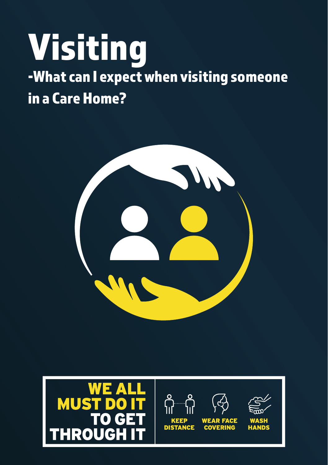# Visiting -What can I expect when visiting someone in a Care Home?



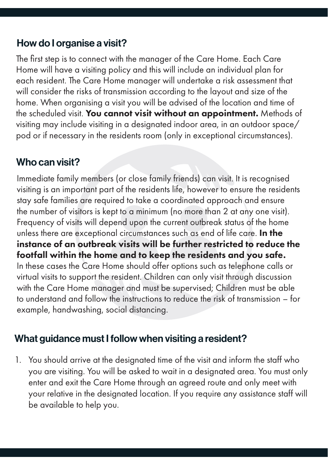### How do I organise a visit?

The first step is to connect with the manager of the Care Home. Each Care Home will have a visiting policy and this will include an individual plan for each resident. The Care Home manager will undertake a risk assessment that will consider the risks of transmission according to the layout and size of the home. When organising a visit you will be advised of the location and time of the scheduled visit. You cannot visit without an appointment. Methods of visiting may include visiting in a designated indoor area, in an outdoor space/ pod or if necessary in the residents room (only in exceptional circumstances).

### Who can visit?

Immediate family members (or close family friends) can visit. It is recognised visiting is an important part of the residents life, however to ensure the residents stay safe families are required to take a coordinated approach and ensure the number of visitors is kept to a minimum (no more than 2 at any one visit). Frequency of visits will depend upon the current outbreak status of the home unless there are exceptional circumstances such as end of life care. In the instance of an outbreak visits will be further restricted to reduce the footfall within the home and to keep the residents and you safe. In these cases the Care Home should offer options such as telephone calls or virtual visits to support the resident. Children can only visit through discussion with the Care Home manager and must be supervised; Children must be able to understand and follow the instructions to reduce the risk of transmission – for example, handwashing, social distancing.

### What guidance must I follow when visiting a resident?

1. You should arrive at the designated time of the visit and inform the staff who you are visiting. You will be asked to wait in a designated area. You must only enter and exit the Care Home through an agreed route and only meet with your relative in the designated location. If you require any assistance staff will be available to help you.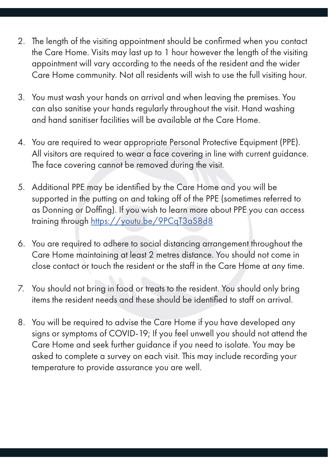- 2. The length of the visiting appointment should be confirmed when you contact the Care Home. Visits may last up to 1 hour however the length of the visiting appointment will vary according to the needs of the resident and the wider Care Home community. Not all residents will wish to use the full visiting hour.
- 3. You must wash your hands on arrival and when leaving the premises. You can also sanitise your hands regularly throughout the visit. Hand washing and hand sanitiser facilities will be available at the Care Home.
- 4. You are required to wear appropriate Personal Protective Equipment (PPE). All visitors are required to wear a face covering in line with current guidance. The face covering cannot be removed during the visit.
- 5. Additional PPE may be identified by the Care Home and you will be supported in the putting on and taking off of the PPE (sometimes referred to as Donning or Doffing). If you wish to learn more about PPE you can access training through https://youtu.be/9PCqT3aS8d8
- 6. You are required to adhere to social distancing arrangement throughout the Care Home maintaining at least 2 metres distance. You should not come in close contact or touch the resident or the staff in the Care Home at any time.
- 7. You should not bring in food or treats to the resident. You should only bring items the resident needs and these should be identified to staff on arrival.
- 8. You will be required to advise the Care Home if you have developed any signs or symptoms of COVID-19; If you feel unwell you should not attend the Care Home and seek further guidance if you need to isolate. You may be asked to complete a survey on each visit. This may include recording your temperature to provide assurance you are well.